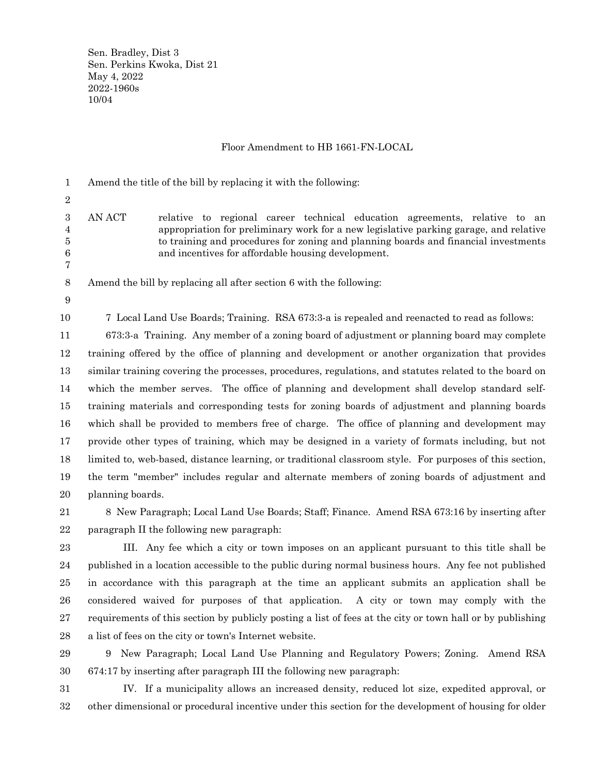Sen. Bradley, Dist 3 Sen. Perkins Kwoka, Dist 21 May 4, 2022 2022-1960s 10/04

## Floor Amendment to HB 1661-FN-LOCAL

Amend the title of the bill by replacing it with the following: 1

2

AN ACT relative to regional career technical education agreements, relative to an appropriation for preliminary work for a new legislative parking garage, and relative to training and procedures for zoning and planning boards and financial investments and incentives for affordable housing development. 3 4 5 6 7

Amend the bill by replacing all after section 6 with the following: 8

9 10

7 Local Land Use Boards; Training. RSA 673:3-a is repealed and reenacted to read as follows:

673:3-a Training. Any member of a zoning board of adjustment or planning board may complete training offered by the office of planning and development or another organization that provides similar training covering the processes, procedures, regulations, and statutes related to the board on which the member serves. The office of planning and development shall develop standard selftraining materials and corresponding tests for zoning boards of adjustment and planning boards which shall be provided to members free of charge. The office of planning and development may provide other types of training, which may be designed in a variety of formats including, but not limited to, web-based, distance learning, or traditional classroom style. For purposes of this section, the term "member" includes regular and alternate members of zoning boards of adjustment and planning boards. 11 12 13 14 15 16 17 18 19 20

8 New Paragraph; Local Land Use Boards; Staff; Finance. Amend RSA 673:16 by inserting after paragraph II the following new paragraph: 21 22

III. Any fee which a city or town imposes on an applicant pursuant to this title shall be published in a location accessible to the public during normal business hours. Any fee not published in accordance with this paragraph at the time an applicant submits an application shall be considered waived for purposes of that application. A city or town may comply with the requirements of this section by publicly posting a list of fees at the city or town hall or by publishing a list of fees on the city or town's Internet website. 23 24 25 26 27 28

9 New Paragraph; Local Land Use Planning and Regulatory Powers; Zoning. Amend RSA 674:17 by inserting after paragraph III the following new paragraph: 29 30

IV. If a municipality allows an increased density, reduced lot size, expedited approval, or other dimensional or procedural incentive under this section for the development of housing for older 31 32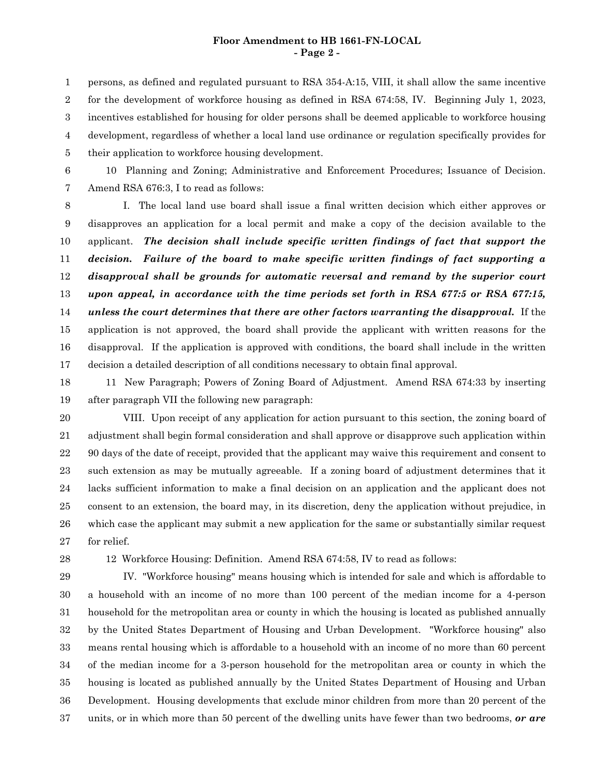### **Floor Amendment to HB 1661-FN-LOCAL - Page 2 -**

persons, as defined and regulated pursuant to RSA 354-A:15, VIII, it shall allow the same incentive for the development of workforce housing as defined in RSA 674:58, IV. Beginning July 1, 2023, incentives established for housing for older persons shall be deemed applicable to workforce housing development, regardless of whether a local land use ordinance or regulation specifically provides for their application to workforce housing development. 1 2 3 4 5

6

10 Planning and Zoning; Administrative and Enforcement Procedures; Issuance of Decision. Amend RSA 676:3, I to read as follows: 7

I. The local land use board shall issue a final written decision which either approves or disapproves an application for a local permit and make a copy of the decision available to the applicant. *The decision shall include specific written findings of fact that support the decision. Failure of the board to make specific written findings of fact supporting a disapproval shall be grounds for automatic reversal and remand by the superior court upon appeal, in accordance with the time periods set forth in RSA 677:5 or RSA 677:15, unless the court determines that there are other factors warranting the disapproval.* If the application is not approved, the board shall provide the applicant with written reasons for the disapproval. If the application is approved with conditions, the board shall include in the written decision a detailed description of all conditions necessary to obtain final approval. 8 9 10 11 12 13 14 15 16 17

11 New Paragraph; Powers of Zoning Board of Adjustment. Amend RSA 674:33 by inserting after paragraph VII the following new paragraph: 18 19

VIII. Upon receipt of any application for action pursuant to this section, the zoning board of adjustment shall begin formal consideration and shall approve or disapprove such application within 90 days of the date of receipt, provided that the applicant may waive this requirement and consent to such extension as may be mutually agreeable. If a zoning board of adjustment determines that it lacks sufficient information to make a final decision on an application and the applicant does not consent to an extension, the board may, in its discretion, deny the application without prejudice, in which case the applicant may submit a new application for the same or substantially similar request for relief. 20 21 22 23 24 25 26 27

28

12 Workforce Housing: Definition. Amend RSA 674:58, IV to read as follows:

IV. "Workforce housing" means housing which is intended for sale and which is affordable to a household with an income of no more than 100 percent of the median income for a 4-person household for the metropolitan area or county in which the housing is located as published annually by the United States Department of Housing and Urban Development. "Workforce housing" also means rental housing which is affordable to a household with an income of no more than 60 percent of the median income for a 3-person household for the metropolitan area or county in which the housing is located as published annually by the United States Department of Housing and Urban Development. Housing developments that exclude minor children from more than 20 percent of the units, or in which more than 50 percent of the dwelling units have fewer than two bedrooms, *or are* 29 30 31 32 33 34 35 36 37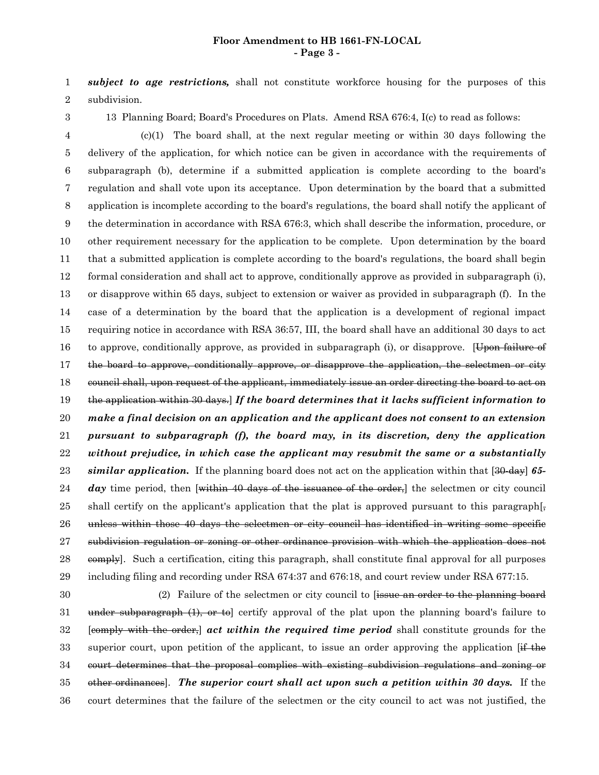#### **Floor Amendment to HB 1661-FN-LOCAL - Page 3 -**

*subject to age restrictions,* shall not constitute workforce housing for the purposes of this subdivision. 1 2

3

13 Planning Board; Board's Procedures on Plats. Amend RSA 676:4, I(c) to read as follows:

 $(c)(1)$  The board shall, at the next regular meeting or within 30 days following the delivery of the application, for which notice can be given in accordance with the requirements of subparagraph (b), determine if a submitted application is complete according to the board's regulation and shall vote upon its acceptance. Upon determination by the board that a submitted application is incomplete according to the board's regulations, the board shall notify the applicant of the determination in accordance with RSA 676:3, which shall describe the information, procedure, or other requirement necessary for the application to be complete. Upon determination by the board that a submitted application is complete according to the board's regulations, the board shall begin formal consideration and shall act to approve, conditionally approve as provided in subparagraph (i), or disapprove within 65 days, subject to extension or waiver as provided in subparagraph (f). In the case of a determination by the board that the application is a development of regional impact requiring notice in accordance with RSA 36:57, III, the board shall have an additional 30 days to act to approve, conditionally approve, as provided in subparagraph (i), or disapprove. [Upon failure of the board to approve, conditionally approve, or disapprove the application, the selectmen or city council shall, upon request of the applicant, immediately issue an order directing the board to act on the application within 30 days.] *If the board determines that it lacks sufficient information to make a final decision on an application and the applicant does not consent to an extension pursuant to subparagraph (f), the board may, in its discretion, deny the application without prejudice, in which case the applicant may resubmit the same or a substantially similar application.* If the planning board does not act on the application within that [30-day] *65* day time period, then [within 40 days of the issuance of the order,] the selectmen or city council shall certify on the applicant's application that the plat is approved pursuant to this paragraph[ $\frac{1}{2}$ ] unless within those 40 days the selectmen or city council has identified in writing some specific subdivision regulation or zoning or other ordinance provision with which the application does not eomply]. Such a certification, citing this paragraph, shall constitute final approval for all purposes including filing and recording under RSA 674:37 and 676:18, and court review under RSA 677:15. 4 5 6 7 8 9 10 11 12 13 14 15 16 17 18 19 20 21 22 23 24 25 26 27 28 29

(2) Failure of the selectmen or city council to [issue an order to the planning board under subparagraph (1), or to certify approval of the plat upon the planning board's failure to [comply with the order,] *act within the required time period* shall constitute grounds for the superior court, upon petition of the applicant, to issue an order approving the application  $\left[\frac{if}{f}\right]$ court determines that the proposal complies with existing subdivision regulations and zoning or other ordinances]. *The superior court shall act upon such a petition within 30 days.* If the court determines that the failure of the selectmen or the city council to act was not justified, the 30 31 32 33 34 35 36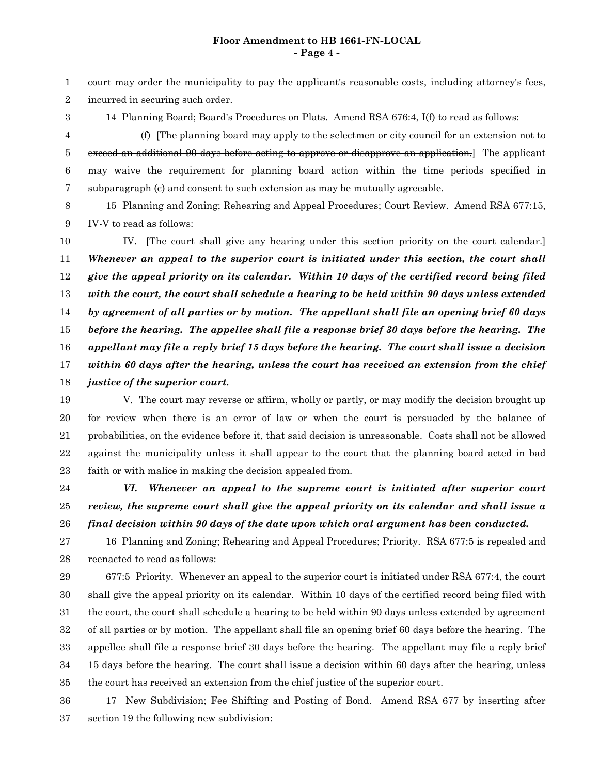### **Floor Amendment to HB 1661-FN-LOCAL - Page 4 -**

court may order the municipality to pay the applicant's reasonable costs, including attorney's fees, incurred in securing such order. 1 2

14 Planning Board; Board's Procedures on Plats. Amend RSA 676:4, I(f) to read as follows:

3

(f) [The planning board may apply to the selectmen or city council for an extension not to exceed an additional 90 days before acting to approve or disapprove an application. The applicant may waive the requirement for planning board action within the time periods specified in subparagraph (c) and consent to such extension as may be mutually agreeable. 4 5 6 7

15 Planning and Zoning; Rehearing and Appeal Procedures; Court Review. Amend RSA 677:15, IV-V to read as follows: 8 9

IV. [The court shall give any hearing under this section priority on the court calendar.] *Whenever an appeal to the superior court is initiated under this section, the court shall give the appeal priority on its calendar. Within 10 days of the certified record being filed with the court, the court shall schedule a hearing to be held within 90 days unless extended by agreement of all parties or by motion. The appellant shall file an opening brief 60 days before the hearing. The appellee shall file a response brief 30 days before the hearing. The appellant may file a reply brief 15 days before the hearing. The court shall issue a decision within 60 days after the hearing, unless the court has received an extension from the chief justice of the superior court.* 10 11 12 13 14 15 16 17 18

V. The court may reverse or affirm, wholly or partly, or may modify the decision brought up for review when there is an error of law or when the court is persuaded by the balance of probabilities, on the evidence before it, that said decision is unreasonable. Costs shall not be allowed against the municipality unless it shall appear to the court that the planning board acted in bad faith or with malice in making the decision appealed from. 19 20 21 22 23

*VI. Whenever an appeal to the supreme court is initiated after superior court review, the supreme court shall give the appeal priority on its calendar and shall issue a final decision within 90 days of the date upon which oral argument has been conducted.* 24 25 26

16 Planning and Zoning; Rehearing and Appeal Procedures; Priority. RSA 677:5 is repealed and reenacted to read as follows: 27 28

677:5 Priority. Whenever an appeal to the superior court is initiated under RSA 677:4, the court shall give the appeal priority on its calendar. Within 10 days of the certified record being filed with the court, the court shall schedule a hearing to be held within 90 days unless extended by agreement of all parties or by motion. The appellant shall file an opening brief 60 days before the hearing. The appellee shall file a response brief 30 days before the hearing. The appellant may file a reply brief 15 days before the hearing. The court shall issue a decision within 60 days after the hearing, unless the court has received an extension from the chief justice of the superior court. 29 30 31 32 33 34 35

17 New Subdivision; Fee Shifting and Posting of Bond. Amend RSA 677 by inserting after section 19 the following new subdivision: 36 37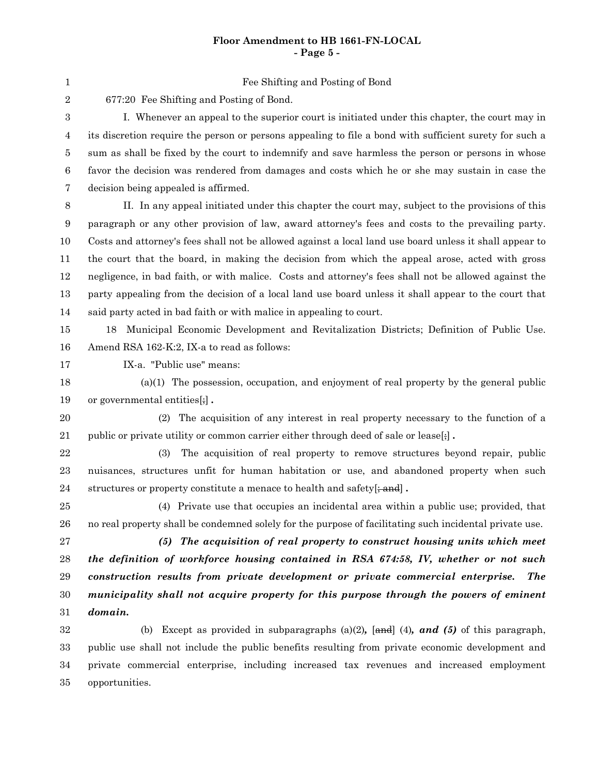## **Floor Amendment to HB 1661-FN-LOCAL - Page 5 -**

Fee Shifting and Posting of Bond

2

1

677:20 Fee Shifting and Posting of Bond.

I. Whenever an appeal to the superior court is initiated under this chapter, the court may in its discretion require the person or persons appealing to file a bond with sufficient surety for such a sum as shall be fixed by the court to indemnify and save harmless the person or persons in whose favor the decision was rendered from damages and costs which he or she may sustain in case the decision being appealed is affirmed. 3 4 5 6 7

II. In any appeal initiated under this chapter the court may, subject to the provisions of this paragraph or any other provision of law, award attorney's fees and costs to the prevailing party. Costs and attorney's fees shall not be allowed against a local land use board unless it shall appear to the court that the board, in making the decision from which the appeal arose, acted with gross negligence, in bad faith, or with malice. Costs and attorney's fees shall not be allowed against the party appealing from the decision of a local land use board unless it shall appear to the court that said party acted in bad faith or with malice in appealing to court. 8 9 10 11 12 13 14

18 Municipal Economic Development and Revitalization Districts; Definition of Public Use. Amend RSA 162-K:2, IX-a to read as follows: 15 16

IX-a. "Public use" means: 17

(a)(1) The possession, occupation, and enjoyment of real property by the general public or governmental entities[;] *.* 18 19

(2) The acquisition of any interest in real property necessary to the function of a public or private utility or common carrier either through deed of sale or lease[;] *.* 20 21

(3) The acquisition of real property to remove structures beyond repair, public nuisances, structures unfit for human habitation or use, and abandoned property when such structures or property constitute a menace to health and safety[; and] *.* 22 23 24

(4) Private use that occupies an incidental area within a public use; provided, that no real property shall be condemned solely for the purpose of facilitating such incidental private use. 25 26

*(5) The acquisition of real property to construct housing units which meet the definition of workforce housing contained in RSA 674:58, IV, whether or not such construction results from private development or private commercial enterprise. The municipality shall not acquire property for this purpose through the powers of eminent domain.* 27 28 29 30 31

(b) Except as provided in subparagraphs (a)(2)*,* [and] (4)*, and (5)* of this paragraph, public use shall not include the public benefits resulting from private economic development and private commercial enterprise, including increased tax revenues and increased employment opportunities. 32 33 34 35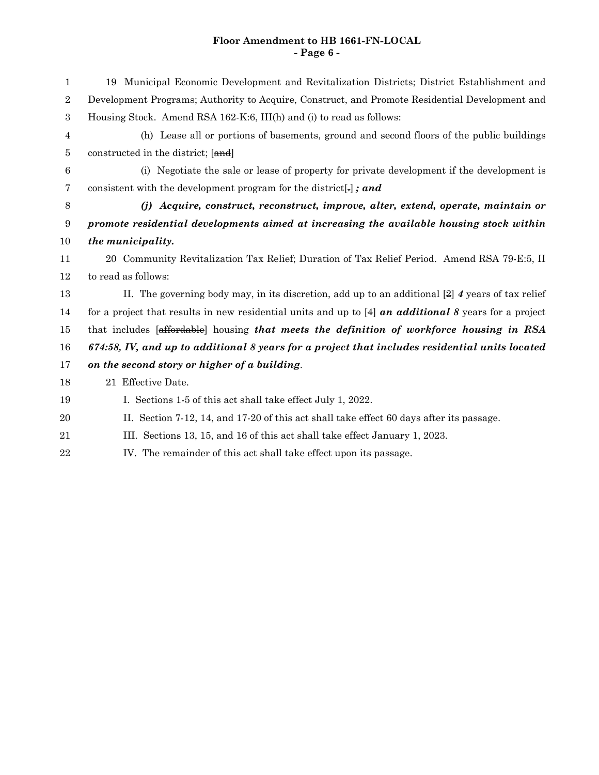# **Floor Amendment to HB 1661-FN-LOCAL - Page 6 -**

| 1                | 19 Municipal Economic Development and Revitalization Districts; District Establishment and              |
|------------------|---------------------------------------------------------------------------------------------------------|
| $\overline{2}$   | Development Programs; Authority to Acquire, Construct, and Promote Residential Development and          |
| $\boldsymbol{3}$ | Housing Stock. Amend RSA 162-K:6, III(h) and (i) to read as follows:                                    |
| 4                | (h) Lease all or portions of basements, ground and second floors of the public buildings                |
| 5                | constructed in the district; [and]                                                                      |
| 6                | (i) Negotiate the sale or lease of property for private development if the development is               |
| $\overline{7}$   | consistent with the development program for the district, $\mathbf{z}$                                  |
| 8                | (j) Acquire, construct, reconstruct, improve, alter, extend, operate, maintain or                       |
| 9                | promote residential developments aimed at increasing the available housing stock within                 |
| 10               | the municipality.                                                                                       |
| 11               | 20 Community Revitalization Tax Relief; Duration of Tax Relief Period. Amend RSA 79-E:5, II             |
| 12               | to read as follows:                                                                                     |
| 13               | II. The governing body may, in its discretion, add up to an additional $[2]$ 4 years of tax relief      |
| 14               | for a project that results in new residential units and up to $[4]$ an additional 8 years for a project |
| 15               | that includes [affordable] housing that meets the definition of workforce housing in RSA                |
| 16               | 674:58, IV, and up to additional 8 years for a project that includes residential units located          |
| 17               | on the second story or higher of a building.                                                            |
| 18               | 21 Effective Date.                                                                                      |
| 19               | I. Sections 1-5 of this act shall take effect July 1, 2022.                                             |
| 20               | II. Section 7-12, 14, and 17-20 of this act shall take effect 60 days after its passage.                |
| 21               | III. Sections 13, 15, and 16 of this act shall take effect January 1, 2023.                             |
| 22               | IV. The remainder of this act shall take effect upon its passage.                                       |